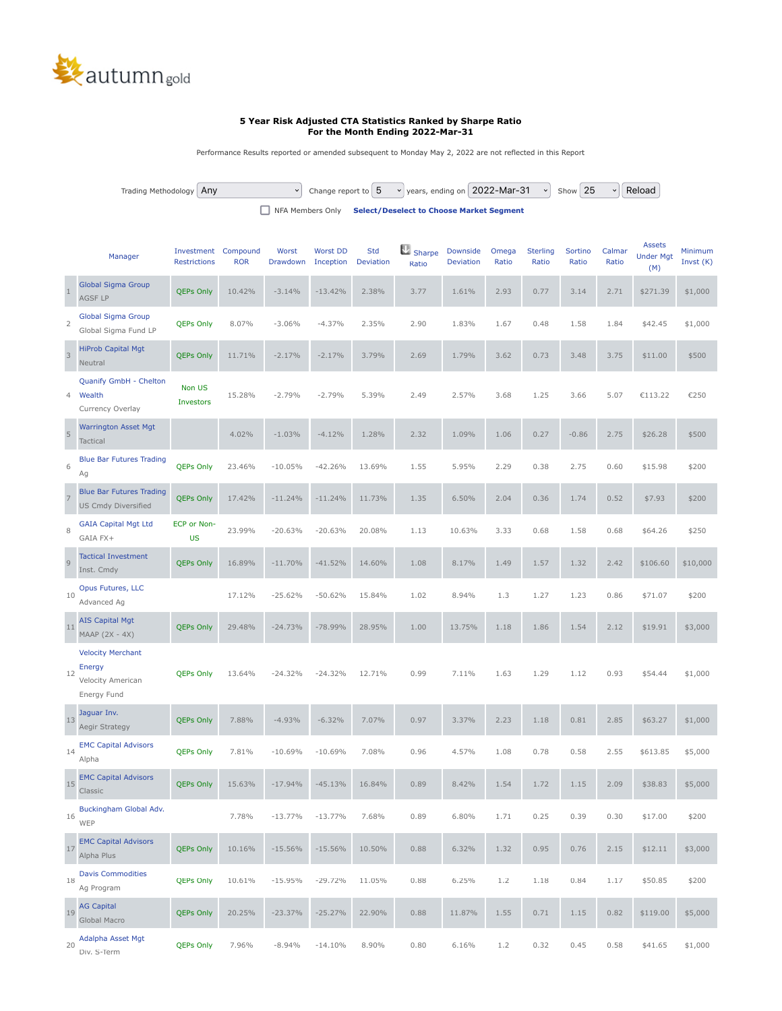

## **5 Year Risk Adjusted CTA Statistics Ranked by Sharpe Ratio For the Month Ending 2022-Mar-31**

Performance Results reported or amended subsequent to Monday May 2, 2022 are not reflected in this Report

| Trading Methodology Any | $\vee$ |  |                                                           | Change report to $ 5 \times$ years, ending on 2022-Mar-31 $\times$ Show 25 |  | √ Reload |
|-------------------------|--------|--|-----------------------------------------------------------|----------------------------------------------------------------------------|--|----------|
|                         |        |  | NFA Members Only Select/Deselect to Choose Market Segment |                                                                            |  |          |

|                | Manager                                                                | Investment<br><b>Restrictions</b> | Compound<br><b>ROR</b> | Worst<br>Drawdown | <b>Worst DD</b><br>Inception | Std<br>Deviation | Sharpe<br>Ratio | Downside<br>Deviation | Omega<br>Ratio | <b>Sterling</b><br>Ratio | Sortino<br>Ratio | Calmar<br>Ratio | <b>Assets</b><br><b>Under Mgt</b><br>(M) | Minimum<br>Invst $(K)$ |
|----------------|------------------------------------------------------------------------|-----------------------------------|------------------------|-------------------|------------------------------|------------------|-----------------|-----------------------|----------------|--------------------------|------------------|-----------------|------------------------------------------|------------------------|
| $1\,$          | <b>Global Sigma Group</b><br>AGSF LP                                   | <b>QEPs Only</b>                  | 10.42%                 | $-3.14%$          | $-13.42%$                    | 2.38%            | 3.77            | 1.61%                 | 2.93           | 0.77                     | 3.14             | 2.71            | \$271.39                                 | \$1,000                |
| $\overline{2}$ | <b>Global Sigma Group</b><br>Global Sigma Fund LP                      | <b>QEPs Only</b>                  | 8.07%                  | $-3.06%$          | $-4.37%$                     | 2.35%            | 2.90            | 1.83%                 | 1.67           | 0.48                     | 1.58             | 1.84            | \$42.45                                  | \$1,000                |
| $\mathsf 3$    | <b>HiProb Capital Mgt</b><br>Neutral                                   | <b>QEPs Only</b>                  | 11.71%                 | $-2.17%$          | $-2.17%$                     | 3.79%            | 2.69            | 1.79%                 | 3.62           | 0.73                     | 3.48             | 3.75            | \$11.00                                  | \$500                  |
| 4              | Quanify GmbH - Chelton<br>Wealth<br>Currency Overlay                   | Non US<br><b>Investors</b>        | 15.28%                 | $-2.79%$          | $-2.79%$                     | 5.39%            | 2.49            | 2.57%                 | 3.68           | 1.25                     | 3.66             | 5.07            | €113.22                                  | €250                   |
| 5              | <b>Warrington Asset Mgt</b><br><b>Tactical</b>                         |                                   | 4.02%                  | $-1.03%$          | $-4.12%$                     | 1.28%            | 2.32            | 1.09%                 | 1.06           | 0.27                     | $-0.86$          | 2.75            | \$26.28                                  | \$500                  |
| 6              | <b>Blue Bar Futures Trading</b><br>Ag                                  | <b>QEPs Only</b>                  | 23.46%                 | $-10.05%$         | $-42.26%$                    | 13.69%           | 1.55            | 5.95%                 | 2.29           | 0.38                     | 2.75             | 0.60            | \$15.98                                  | \$200                  |
| $\overline{7}$ | <b>Blue Bar Futures Trading</b><br><b>US Cmdy Diversified</b>          | <b>QEPs Only</b>                  | 17.42%                 | $-11.24%$         | $-11.24%$                    | 11.73%           | 1.35            | 6.50%                 | 2.04           | 0.36                     | 1.74             | 0.52            | \$7.93                                   | \$200                  |
| 8              | <b>GAIA Capital Mgt Ltd</b><br>GAIA FX+                                | ECP or Non-<br><b>US</b>          | 23.99%                 | $-20.63%$         | $-20.63%$                    | 20.08%           | 1.13            | 10.63%                | 3.33           | 0.68                     | 1.58             | 0.68            | \$64.26                                  | \$250                  |
| $\overline{9}$ | <b>Tactical Investment</b><br>Inst. Cmdy                               | <b>QEPs Only</b>                  | 16.89%                 | $-11.70%$         | $-41.52%$                    | 14.60%           | 1.08            | 8.17%                 | 1.49           | 1.57                     | 1.32             | 2.42            | \$106.60                                 | \$10,000               |
| 10             | Opus Futures, LLC<br>Advanced Ag                                       |                                   | 17.12%                 | $-25.62%$         | $-50.62%$                    | 15.84%           | 1.02            | 8.94%                 | 1.3            | 1.27                     | 1.23             | 0.86            | \$71.07                                  | \$200                  |
| 11             | <b>AIS Capital Mgt</b><br>MAAP (2X - 4X)                               | <b>QEPs Only</b>                  | 29.48%                 | $-24.73%$         | $-78.99%$                    | 28.95%           | 1.00            | 13.75%                | 1.18           | 1.86                     | 1.54             | 2.12            | \$19.91                                  | \$3,000                |
| 12             | <b>Velocity Merchant</b><br>Energy<br>Velocity American<br>Energy Fund | <b>QEPs Only</b>                  | 13.64%                 | $-24.32%$         | $-24.32%$                    | 12.71%           | 0.99            | 7.11%                 | 1.63           | 1.29                     | 1.12             | 0.93            | \$54.44                                  | \$1,000                |
| 13             | Jaguar Inv.<br>Aegir Strategy                                          | <b>QEPs Only</b>                  | 7.88%                  | $-4.93%$          | $-6.32%$                     | 7.07%            | 0.97            | 3.37%                 | 2.23           | 1.18                     | 0.81             | 2.85            | \$63.27                                  | \$1,000                |
| 14             | <b>EMC Capital Advisors</b><br>Alpha                                   | <b>QEPs Only</b>                  | 7.81%                  | $-10.69%$         | $-10.69%$                    | 7.08%            | 0.96            | 4.57%                 | 1.08           | 0.78                     | 0.58             | 2.55            | \$613.85                                 | \$5,000                |
| 15             | <b>EMC Capital Advisors</b><br>Classic                                 | <b>QEPs Only</b>                  | 15.63%                 | $-17.94%$         | $-45.13%$                    | 16.84%           | 0.89            | 8.42%                 | 1.54           | 1.72                     | 1.15             | 2.09            | \$38.83                                  | \$5,000                |
| 16             | Buckingham Global Adv.<br>WEP                                          |                                   | 7.78%                  | $-13.77%$         | $-13.77%$                    | 7.68%            | 0.89            | 6.80%                 | 1.71           | 0.25                     | 0.39             | 0.30            | \$17.00                                  | \$200                  |
| 17             | <b>EMC Capital Advisors</b><br>Alpha Plus                              | <b>QEPs Only</b>                  | 10.16%                 | $-15.56%$         | $-15.56%$                    | 10.50%           | 0.88            | 6.32%                 | 1.32           | 0.95                     | 0.76             | 2.15            | \$12.11                                  | \$3,000                |
| 18             | <b>Davis Commodities</b><br>Ag Program                                 | QEPs Only                         | 10.61%                 | $-15.95%$         | $-29.72%$                    | 11.05%           | 0.88            | 6.25%                 | 1.2            | 1.18                     | 0.84             | 1.17            | \$50.85                                  | \$200                  |
| 19             | <b>AG Capital</b><br>Global Macro                                      | <b>QEPs Only</b>                  | 20.25%                 | $-23.37%$         | $-25.27%$                    | 22.90%           | 0.88            | 11.87%                | 1.55           | 0.71                     | 1.15             | 0.82            | \$119.00                                 | \$5,000                |
| 20             | Adalpha Asset Mgt<br>Div. S-Term                                       | <b>QEPs Only</b>                  | 7.96%                  | $-8.94%$          | $-14.10%$                    | 8.90%            | 0.80            | 6.16%                 | 1.2            | 0.32                     | 0.45             | 0.58            | \$41.65                                  | \$1,000                |